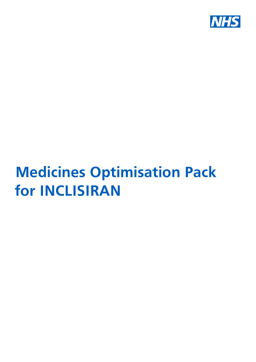

# **Medicines Optimisation Pack for INCLISIRAN**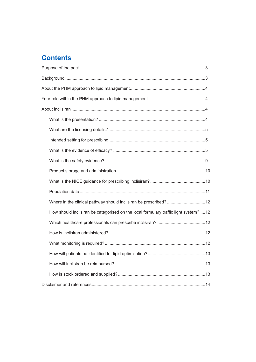# **Contents**

| Where in the clinical pathway should inclisiran be prescribed?12                      |  |
|---------------------------------------------------------------------------------------|--|
| How should inclisiran be categorised on the local formulary traffic light system?  12 |  |
|                                                                                       |  |
|                                                                                       |  |
|                                                                                       |  |
|                                                                                       |  |
|                                                                                       |  |
|                                                                                       |  |
|                                                                                       |  |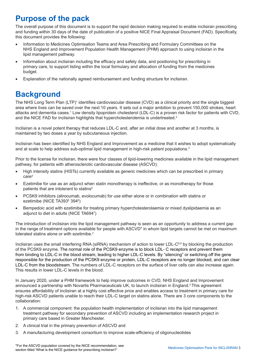# <span id="page-2-0"></span>**Purpose of the pack**

The overall purpose of this document is to support the rapid decision making required to enable inclisiran prescribing and funding within 30 days of the date of publication of a positive NICE Final Appraisal Document (FAD). Specifically, this document provides the following:

- Information to Medicines Optimisation Teams and Area Prescribing and Formulary Committees on the NHS England and Improvement Population Health Management (PHM) approach to using inclisiran in the lipid management pathway.
- Information about inclisiran including the efficacy and safety data, and positioning for prescribing in primary care, to support listing within the local formulary and allocation of funding from the medicines budget.
- Explanation of the nationally agreed reimbursement and funding structure for inclisiran.

# **Background**

The NHS Long Term Plan (LTP)<sup>1</sup> identifies cardiovascular disease (CVD) as a clinical priority and the single biggest area where lives can be saved over the next 10 years. It sets out a major ambition to prevent 150,000 strokes, heart attacks and dementia cases.<sup>1</sup> Low density lipoprotein cholesterol (LDL-C) is a proven risk factor for patients with CVD, and the NICE FAD for inclisiran highlights that hypercholesterolemia is undertreated.<sup>2</sup>

Inclisiran is a novel potent therapy that reduces LDL-C and, after an initial dose and another at 3 months, is maintained by two doses a year by subcutaneous injection.

Inclisiran has been identified by NHS England and Improvement as a medicine that it wishes to adopt systematically and at scale to help address sub-optimal lipid management in high-risk patient populations. $3$ 

Prior to the license for inclisiran, there were four classes of lipid-lowering medicines available in the lipid management pathway, for patients with atherosclerotic cardiovascular disease (ASCVD):

- High intensity statins (HISTs) currently available as generic medicines which can be prescribed in primary care4
- Ezetimibe for use as an adjunct when statin monotherapy is ineffective, or as monotherapy for those patients that are intolerant to statins4
- PCSK9 inhibitors (alirocumab, evolocumab) for use either alone or in combination with statins or ezetimibe (NICE TA393<sup>5</sup> 394<sup>6</sup>)
- Bempedoic acid with ezetimibe for treating primary hypercholesterolaemia or mixed dyslipidaemia as an adjunct to diet in adults (NICE TA6947 )

The introduction of inclisiran into the lipid management pathway is seen as an opportunity to address a current gap in the range of treatment options available for people with ASCVD<sup>\*</sup> in whom lipid targets cannot be met on maximum tolerated statins alone or with ezetimibe. 2

Inclisiran uses the small interfering RNA (siRNA) mechanism of action to lower LDL-C<sup>8,9</sup> by blocking the production of the PCSK9 enzyme. The normal role of the PCSK9 enzyme is to block LDL- C receptors and prevent them from binding to LDL-C in the blood stream, leading to higher LDL-C levels. By "silencing" or switching off the gene responsible for the production of the PCSK9 enzyme or protein, LDL-C receptors are no longer blocked, and can clear LDL-C from the bloodstream. The numbers of LDL-C receptors on the surface of liver cells can also increase again. This results in lower LDL-C levels in the blood.

In January 2020, under a PHM framework to help improve outcomes in CVD, NHS England and Improvement announced a partnership with Novartis Pharmaceuticals UK, to launch inclisiran in England.3 This agreement ensures affordability of inclisiran at a highly cost effective price and enables access to treatment in primary care for high-risk ASCVD patients unable to reach their LDL-C target on statins alone. There are 3 core components to the collaboration:

- 1. A commercial component: the population health implementation of inclisiran into the lipid management treatment pathway for secondary prevention of ASCVD including an implementation research project in primary care based in Greater Manchester.
- 2. A clinical trial in the primary prevention of ASCVD and
- 3. A manufacturing development consortium to improve scale-efficiency of oligonucleotides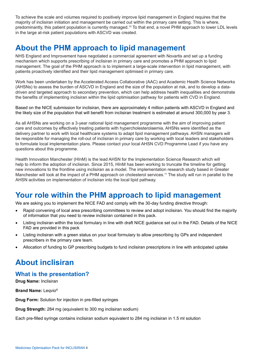<span id="page-3-0"></span>To achieve the scale and volumes required to positively improve lipid management in England requires that the majority of inclisiran initiation and management be carried out within the primary care setting. This is where, predominantly, this patient population is currently managed.<sup>10</sup> To that end, a novel PHM approach to lower LDL levels in the large at-risk patient populations with ASCVD was created.

# **About the PHM approach to lipid management**

NHS England and Improvement have negotiated a commercial agreement with Novartis and set up a funding mechanism which supports prescribing of inclisiran in primary care and promotes a PHM approach to lipid management. The goal of the PHM approach is to implement a large-scale intervention in lipid management, with patients proactively identified and their lipid management optimised in primary care.

Work has been undertaken by the Accelerated Access Collaborative (AAC) and Academic Health Science Networks (AHSNs) to assess the burden of ASCVD in England and the size of the population at risk, and to develop a datadriven and targeted approach to secondary prevention, which can help address health inequalities and demonstrate the benefits of implementing inclisiran within the lipid optimisation pathway for patients with CVD in England.

Based on the NICE submission for inclisiran, there are approximately 4 million patients with ASCVD in England and the likely size of the population that will benefit from inclisiran treatment is estimated at around 300,000 by year 3.

As all AHSNs are working on a 3-year national lipid management programme with the aim of improving patient care and outcomes by effectively treating patients with hypercholesterolaemia, AHSNs were identified as the delivery partner to work with local healthcare systems to adapt lipid management pathways. AHSN managers will be responsible for managing the roll-out of inclisiran in primary care by working with local leaders and stakeholders to formulate local implementation plans. Please contact your local AHSN CVD Programme Lead if you have any questions about this programme.

Health Innovation Manchester (HInM) is the lead AHSN for the Implementation Science Research which will help to inform the adoption of inclisiran. Since 2015, HInM has been working to truncate the timeline for getting new innovations to the frontline using inclisiran as a model. The implementation research study based in Greater Manchester will look at the impact of a PHM approach on cholesterol services.<sup>11</sup> The study will run in parallel to the AHSN activities on implementation of inclisiran into the local lipid pathway.

# **Your role within the PHM approach to lipid management**

We are asking you to implement the NICE FAD and comply with the 30-day funding directive through:

- Rapid convening of local area prescribing committees to review and adopt inclisiran. You should find the majority of information that you need to review inclisiran contained in this pack.
- Listing inclisiran within the local formulary in line with draft NICE guidance set out in the FAD. Details of the NICE FAD are provided in this pack
- Listing inclisiran with a green status on your local formulary to allow prescribing by GPs and independent prescribers in the primary care team.
- Allocation of funding to GP prescribing budgets to fund inclisiran prescriptions in line with anticipated uptake

# **About inclisiran**

## **What is the presentation?**

**Drug Name:** Inclisiran

**Brand Name:** Leqvio®

**Drug Form:** Solution for injection in pre-filled syringes

**Drug Strength:** 284 mg (equivalent to 300 mg inclisiran sodium)

Each pre-filled syringe contains inclisiran sodium equivalent to 284 mg inclisiran in 1.5 ml solution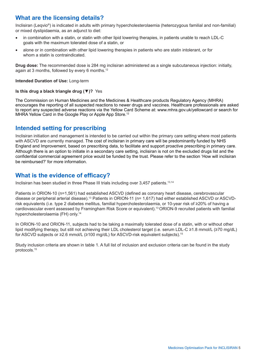# <span id="page-4-0"></span>**What are the licensing details?**

Inclisiran (Leqvio®) is indicated in adults with primary hypercholesterolaemia (heterozygous familial and non-familial) or mixed dyslipidaemia, as an adjunct to diet:

- in combination with a statin, or statin with other lipid lowering therapies, in patients unable to reach LDL-C goals with the maximum tolerated dose of a statin, or
- alone or in combination with other lipid lowering therapies in patients who are statin intolerant, or for whom a statin is contraindicated.

**Drug dose:** The recommended dose is 284 mg inclisiran administered as a single subcutaneous injection: initially, again at 3 months, followed by every 6 months.<sup>12</sup>

#### **Intended Duration of Use:** Long-term

#### **Is this drug a black triangle drug (▼)?** Yes

The Commission on Human Medicines and the Medicines & Healthcare products Regulatory Agency (MHRA) encourages the reporting of all suspected reactions to newer drugs and vaccines. Healthcare professionals are asked to report any suspected adverse reactions via the Yellow Card Scheme at: www.mhra.gov.uk/yellowcard or search for MHRA Yellow Card in the Google Play or Apple App Store.<sup>12</sup>

## **Intended setting for prescribing**

Inclisiran initiation and management is intended to be carried out within the primary care setting where most patients with ASCVD are currently managed. The cost of inclisiran in primary care will be predominantly funded by NHS England and Improvement, based on prescribing data, to facilitate and support proactive prescribing in primary care. Although there is an option to initiate in a secondary care setting, inclisiran is not on the excluded drugs list and the confidential commercial agreement price would be funded by the trust. Please refer to the section 'How will inclisiran be reimbursed?' for more information.

# **What is the evidence of efficacy?**

Inclisiran has been studied in three Phase III trials including over 3,457 patients.13,14

Patients in ORION-10 (n=1,561) had established ASCVD (defined as coronary heart disease, cerebrovascular disease or peripheral arterial disease).<sup>13</sup> Patients in ORION-11 (n= 1,617) had either established ASCVD or ASCVDrisk equivalents (i.e. type 2 diabetes mellitus, familial hypercholesterolaemia, or 10-year risk of ≥20% of having a cardiovascular event assessed by Framingham Risk Score or equivalent).<sup>13</sup>ORION-9 recruited patients with familial hypercholesterolaemia (FH) only.<sup>14</sup>

In ORION-10 and ORION-11, subjects had to be taking a maximally tolerated dose of a statin, with or without other lipid modifying therapy, but still not achieving their LDL cholesterol target (i.e. serum LDL-C ≥1.8 mmol/L (≥70 mg/dL) for ASCVD subjects or ≥2.6 mmol/L (≥100 mg/dL) for ASCVD-risk equivalent subjects).<sup>15</sup>

Study inclusion criteria are shown in table 1. A full list of inclusion and exclusion criteria can be found in the study protocols.15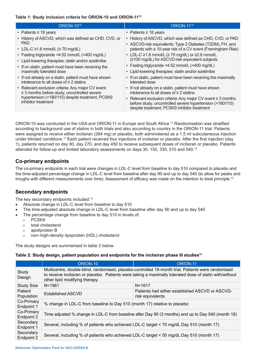#### **Table 1: Study inclusion criteria for ORION-10 and ORION-11<sup>15</sup>**

| <b>ORION-1015</b>                                                                                      | <b>ORION-11<sup>15</sup></b>                                                                                                                                                   |
|--------------------------------------------------------------------------------------------------------|--------------------------------------------------------------------------------------------------------------------------------------------------------------------------------|
| • Patients $\geq$ 18 years                                                                             | • Patients $\geq$ 18 years                                                                                                                                                     |
| • History of ASCVD, which was defined as CHD, CVD, or<br>PAD.                                          | • History of ASCVD, which was defined as CHD, CVD, or PAD<br>• ASCVD-risk equivalents: Type 2 Diabetes (T2DM), FH, and                                                         |
| • LDL-C $\geq$ 1.8 mmol/L ( $\geq$ 70 mg/dL)                                                           | patients with a 10-year risk of a CV event (Framingham Risk)                                                                                                                   |
| • Fasting triglyceride <4.52 mmol/L (<400 mg/dL)                                                       | • LDL-C $\geq$ 1.8 mmol/L ( $\geq$ 70 mg/dL) or $\geq$ 2.6 mmol/L                                                                                                              |
| • Lipid-lowering therapies: statin and/or ezetimibe                                                    | (≥100 mg/dL) for ASCVD-risk equivalent subjects                                                                                                                                |
| • If on statin, patient must have been receiving the<br>maximally tolerated dose                       | • Fasting triglyceride <4.52 mmol/L (<400 mg/dL)                                                                                                                               |
|                                                                                                        | • Lipid-lowering therapies: statin and/or ezetimibe                                                                                                                            |
| • If not already on a statin, patient must have shown<br>intolerance to all doses of $\geq 2$ statins  | • If on statin, patient must have been receiving the maximally<br>tolerated dose                                                                                               |
| • Relevant exclusion criteria: Any major CV event<br>$\leq$ 3 months before study, uncontrolled severe | • If not already on a statin, patient must have shown<br>intolerance to all doses of $\geq 2$ statins                                                                          |
| hypertension (>180/110) despite treatment, PCSK9<br>inhibitor treatment                                | • Relevant exclusion criteria: Any major CV event $\leq$ 3 months<br>before study, uncontrolled severe hypertension (>180/110)<br>despite treatment, PCSK9 inhibitor treatment |

ORION-10 was conducted in the USA and ORION-11 in Europe and South Africa.<sup>13</sup> Randomisation was stratified according to background use of statins in both trials and also according to country in the ORION-11 trial. Patients were assigned to receive either inclisiran (284 mg) or placebo, both administered as a 1.5 ml subcutaneous injection under blinded conditions.13 Each patient received four injections of inclisiran or placebo. After the first injection (day 1), patients returned on day 90, day 270, and day 450 to receive subsequent doses of inclisiran or placebo. Patients attended for follow-up and limited laboratory assessments on days 30, 150, 330, 510 and 540.<sup>13</sup>

#### **Co-primary endpoints**

The co-primary endpoints in each trial were changes in LDL-C level from baseline to day 510 compared to placebo and the time-adjusted percentage change in LDL-C level from baseline after day 90 and up to day 540 (to allow for peaks and troughs with different measurements over time). Assessment of efficacy was made on the intention to treat principle.<sup>13</sup>

## **Secondary endpoints**

The key secondary endpoints included:<sup>13</sup>

- Absolute change in LDL-C level from baseline to day 510
- The time-adjusted absolute change in LDL-C level from baseline after day 90 and up to day 540
- The percentage change from baseline to day 510 in levels of:
	- o PCSK9
	- o total cholesterol
	- o apoliprotein B
	- o non–high-density lipoprotein (HDL) cholesterol

The study designs are summarised in table 2 below.

#### **Table 2: Study design, patient population and endpoints for the inclisiran phase III studies<sup>13</sup>**

|                          | ORION-10                                                                                                                                                                                                                                         | ORION-11                                                            |  |  |  |  |
|--------------------------|--------------------------------------------------------------------------------------------------------------------------------------------------------------------------------------------------------------------------------------------------|---------------------------------------------------------------------|--|--|--|--|
| Study<br>Design          | Multicentre, double-blind, randomised, placebo-controlled 18-month trial. Patients were randomised<br>to receive inclisiran or placebo. Patients were taking a maximally tolerated dose of statin with/without<br>other lipid modifying therapy. |                                                                     |  |  |  |  |
| <b>Study Size</b>        | $N = 1561$                                                                                                                                                                                                                                       | $N = 1617$                                                          |  |  |  |  |
| Patient<br>Population    | Established ASCVD                                                                                                                                                                                                                                | Patients had either established ASCVD or ASCVD-<br>risk equivalents |  |  |  |  |
| Co-Primary<br>Endpoint 1 | % change in LDL-C from baseline to Day 510 (month 17) relative to placebo                                                                                                                                                                        |                                                                     |  |  |  |  |
| Co-Primary<br>Endpoint 2 | Time adjusted % change in LDL-C from baseline after Day 90 (3 months) and up to Day 540 (month 18)                                                                                                                                               |                                                                     |  |  |  |  |
| Secondary<br>Endpoint 1  | Several, including % of patients who achieved LDL-C target < 70 mg/dL Day 510 (month 17)                                                                                                                                                         |                                                                     |  |  |  |  |
| Secondary<br>Endpoint 2  | Several, including % of patients who achieved LDL-C target < 50 mg/dL Day 510 (month 17)                                                                                                                                                         |                                                                     |  |  |  |  |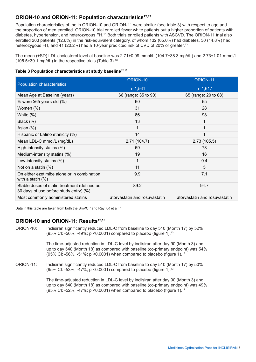#### ORION-10 and ORION-11: Population characteristics<sup>12,13</sup>

Population characteristics of the in ORION-10 and ORION-11 were similar (see table 3) with respect to age and the proportion of men enrolled. ORION-10 trial enrolled fewer white patients but a higher proportion of patients with diabetes, hypertension, and heterozygous FH.<sup>13</sup> Both trials enrolled patients with ASCVD. The ORION-11 trial also enrolled 203 patients (12.6%) in the risk-equivalent category, of whom 132 (65.0%) had diabetes, 30 (14.8%) had heterozygous FH, and 41 (20.2%) had a 10-year predicted risk of CVD of 20% or greater. 13

The mean (±SD) LDL cholesterol level at baseline was 2.71±0.99 mmol/L (104.7±38.3 mg/dL) and 2.73±1.01 mmol/L (105.5 $\pm$ 39.1 mg/dL) in the respective trials (Table 3).<sup>13</sup>

|  |  | Table 3 Population characteristics at study baseline <sup>12,13</sup> |  |  |
|--|--|-----------------------------------------------------------------------|--|--|
|--|--|-----------------------------------------------------------------------|--|--|

| Population characteristics                                                             | ORION-10                      | ORION-11                      |  |
|----------------------------------------------------------------------------------------|-------------------------------|-------------------------------|--|
|                                                                                        | $n=1,561$                     | $n=1,617$                     |  |
| Mean Age at Baseline (years)                                                           | 66 (range: 35 to 90)          | 65 (range: 20 to 88)          |  |
| % were $\geq 65$ years old (%)                                                         | 60                            | 55                            |  |
| Women (%)                                                                              | 31                            | 28                            |  |
| White $(\%)$                                                                           | 86                            | 98                            |  |
| Black (%)                                                                              | 13                            |                               |  |
| Asian $(\%)$                                                                           |                               |                               |  |
| Hispanic or Latino ethnicity (%)                                                       | 14                            |                               |  |
| Mean LDL-C mmol/L (mg/dL)                                                              | 2.71(104.7)                   | 2.73(105.5)                   |  |
| High-intensity statins (%)                                                             | 69                            | 78                            |  |
| Medium-intensity statins (%)                                                           | 19                            | 16                            |  |
| Low-intensity statins (%)                                                              | 1                             | 0.4                           |  |
| Not on a statin $(\%)$                                                                 | 11                            | 5                             |  |
| On either ezetimibe alone or in combination<br>with a statin $(\%)$                    | 9.9                           | 7.1                           |  |
| Stable doses of statin treatment (defined as<br>30 days of use before study entry) (%) | 89.2                          | 94.7                          |  |
| Most commonly administered statins                                                     | atorvastatin and rosuvastatin | atorvastatin and rosuvastatin |  |

Data in this table are taken from both the SmPC<sup>12</sup> and Ray KK et al.<sup>13</sup>

#### ORION-10 and ORION-11: Results<sup>12,13</sup>

ORION-10: Inclisiran significantly reduced LDL-C from baseline to day 510 (Month 17) by 52% (95% CI: -56%, -49%; p <0.0001) compared to placebo (figure 1).<sup>13</sup>

> The time-adjusted reduction in LDL-C level by inclisiran after day 90 (Month 3) and up to day 540 (Month 18) as compared with baseline (co-primary endpoint) was 54% (95% CI: -56%, -51%; p <0.0001) when compared to placebo (figure 1).<sup>12</sup>

ORION-11: Inclisiran significantly reduced LDL-C from baseline to day 510 (Month 17) by 50% (95% CI: -53%, -47%; p <0.0001) compared to placebo (figure 1).<sup>13</sup>

> The time-adjusted reduction in LDL-C level by inclisiran after day 90 (Month 3) and up to day 540 (Month 18) as compared with baseline (co-primary endpoint) was 49% (95% CI: -52%, -47%; p <0.0001) when compared to placebo (figure 1).12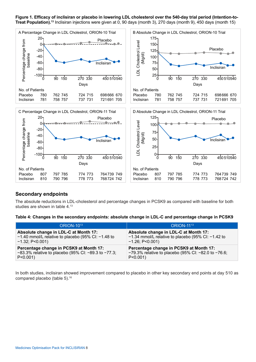**Figure 1. Efficacy of inclisiran or placebo in lowering LDL cholesterol over the 540-day trial period (Intention-to-Treat Population).<sup>13</sup>** Inclisiran injections were given at 0, 90 days (month 3), 270 days (month 9), 450 days (month 15)



#### **Secondary endpoints**

The absolute reductions in LDL-cholesterol and percentage changes in PCSK9 as compared with baseline for both studies are shown in table 4.13

**Table 4: Changes in the secondary endpoints: absolute change in LDL-C and percentage change in PCSK9**

| <b>ORION-1013</b>                                           | <b>ORION-1113</b>                                      |
|-------------------------------------------------------------|--------------------------------------------------------|
| Absolute change in LDL-C at Month 17:                       | Absolute change in LDL-C at Month 17:                  |
| $-1.40$ mmol/L relative to placebo (95% CI: $-1.48$ to      | $-1.34$ mmol/L relative to placebo (95% CI: $-1.42$ to |
| $-1.32; P<0.001$                                            | $-1.26$ ; P<0.001)                                     |
| Percentage change in PCSK9 at Month 17:                     | Percentage change in PCSK9 at Month 17:                |
| $-83.3\%$ relative to placebo (95% CI: $-89.3$ to $-77.3$ ; | $-79.3\%$ relative to placebo (95% CI: -82.0 to -76.6; |
| $P < 0.001$ )                                               | $P < 0.001$ )                                          |

In both studies, inclisiran showed improvement compared to placebo in other key secondary end points at day 510 as compared placebo (table 5).<sup>16</sup>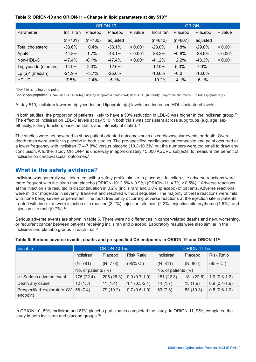#### <span id="page-8-0"></span>**Table 5: ORION-10 and ORION-11 - Change in lipid parameters at day 510<sup>16</sup>**

|                       | ORION-10   |           |           |         | ORION-11   |           |          |         |
|-----------------------|------------|-----------|-----------|---------|------------|-----------|----------|---------|
| Parameter             | Inclisiran | Placebo   | Placebo   | P value | Inclisiran | Placebo   | Placebo  | P value |
|                       | $(n=781)$  | $(n=780)$ | adjusted  |         | $(n=810)$  | $(n=807)$ | adjusted |         |
| Total cholesterol     | $-33.6%$   | $+0.4%$   | $-33.1%$  | < 0.001 | $-28.0%$   | $+1.8%$   | $-29.8%$ | < 0.001 |
| ApoB                  | -44.8%     | $-1.7\%$  | $-43.1%$  | < 0.001 | $-38.2%$   | $+0.8%$   | $-38.9%$ | < 0.001 |
| Non-HDL-C             | $-47.4%$   | $-0.1\%$  | $-47.4%$  | < 0.001 | $-41.2%$   | $+2.2%$   | $-43.3%$ | < 0.001 |
| Triglyceride (median) | $-14.9%$   | $-2.3%$   | $-12.6%$  |         | $-12.0\%$  | $-5.0%$   | $-7.0\%$ |         |
| (median)<br>$Lp(a)^*$ | $-21.9%$   | $+3.7%$   | $-25.6\%$ |         | $-18.6\%$  | $+0.0$    | -18.6%   |         |
| HDL-C                 | $+7.5%$    | $+2.4%$   | $+5.1%$   |         | $+10.2%$   | $+4.1%$   | $+6.1%$  |         |

\*Day 540 sampling time point

ApoB: Apolipoprotein B; Non-HDL-C: Non-high density lipoprotein cholesterol; HDL-C: High density lipoprotein cholesterol; Lp (a): Lipoprotein (a)

At day 510, inclisiran lowered triglycerides and lipoprotein(a) levels and increased HDL cholesterol levels.

In both studies, the proportion of patients likely to have a 50% reduction in LDL-C was higher in the inclisiran group.<sup>13</sup> The effect of inclisiran on LDL-C levels at day 510 in both trials was consistent across subgroups (e.g. age, sex, ethnicity, kidney function, baseline statin, and intensity of statin).<sup>13</sup>

The studies were not powered to show patient oriented outcomes such as cardiovascular events or death. Overall death rates were similar to placebo in both studies. The pre-specified cardiovascular composite end point occurred at a lower frequency with inclisiran (7.4-7.8%) versus placebo (10.2-10.3%) but the numbers were too small to draw any conclusion. A further study ORION-4 is underway in approximately 15,000 ASCVD subjects, to measure the benefit of inclisiran on cardiovascular outcomes.<sup>8</sup>

# **What is the safety evidence?**

Inclisiran was generally well tolerated, with a safety profile similar to placebo.<sup>13</sup> Injection-site adverse reactions were more frequent with inclisiran than placebo (ORION-10: 2.6% v 0.9%) (ORION-11: 4.7% v 0.5%).<sup>13</sup> Adverse reactions at the injection site resulted in discontinuation in 0.2% (inclisiran) and 0.0% (placebo) of patients. Adverse reactions were mild or moderate in severity, transient and resolved without sequelae. The majority of these reactions were mild, with none being severe or persistent. The most frequently occurring adverse reactions at the injection site in patients treated with inclisiran were injection site reaction (3.1%), injection site pain (2.2%), injection site erythema (1.6%), and injection site rash  $(0.7\%)$ .<sup>12</sup>

Serious adverse events are shown in table 6. There were no differences in cancer-related deaths and new, worsening, or recurrent cancer between patients receiving inclisiran and placebo. Laboratory results were also similar in the inclisiran and placebo groups in each trial.<sup>13</sup>

| <b>Variable</b>                         | <b>ORION-10 Trial</b> |           |                    | <b>ORION-11 Trial</b> |            |                    |
|-----------------------------------------|-----------------------|-----------|--------------------|-----------------------|------------|--------------------|
|                                         | Inclisiran            | Placebo   | <b>Risk Ratio</b>  | Inclisiran            | Placebo    | <b>Risk Ratio</b>  |
|                                         | $(N=781)$             | $(N=778)$ | $(95% \text{ Cl})$ | $(N=811)$             | $(N=804)$  | $(95% \text{ Cl})$ |
|                                         | No. of patients (%)   |           |                    | No. of patients (%)   |            |                    |
| ≥1 Serious adverse event                | 175 (22.4)            | 205(26.3) | $0.9(0.7-1.0)$     | 181 (22.3)            | 181 (22.5) | $1.0(0.8-1.2)$     |
| Death any cause                         | 12(1.5)               | 11(1.4)   | $1.1(0.5-2.4)$     | 14(1.7)               | 15(1.9)    | $0.9(0.4-1.9)$     |
| Prespecified exploratory CV<br>endpoint | 58 (7.4)              | 79 (10.2) | $0.7(0.5-1.0)$     | 63(7.8)               | 83 (10.3)  | $0.8(0.6-1.0)$     |

#### **Table 6: Serious adverse events, deaths and prespecified CV endpoints in ORION-10 and ORION-11<sup>13</sup>**

In ORION-10, 89% inclisiran and 87% placebo participants completed the study. In ORION-11, 95% completed the study in both inclisiran and placebo groups.<sup>16</sup>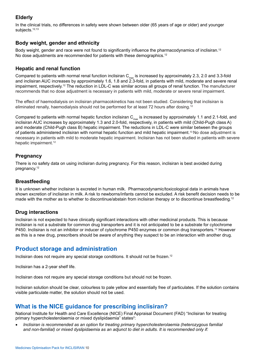## <span id="page-9-0"></span>**Elderly**

In the clinical trials, no differences in safety were shown between older (65 years of age or older) and younger subjects.<sup>12,13</sup>

#### **Body weight, gender and ethnicity**

Body weight, gender and race were not found to significantly influence the pharmacodynamics of inclisiran.<sup>12</sup> No dose adjustments are recommended for patients with these demographics.<sup>12</sup>

#### **Hepatic and renal function**

Compared to patients with normal renal function inclisiran  $C_{\text{max}}$  is increased by approximately 2.3, 2.0 and 3.3-fold and inclisiran AUC increases by approximately 1.6, 1.8 and 2.3-fold, in patients with mild, moderate and severe renal impairment, respectively.<sup>12</sup> The reduction in LDL-C was similar across all groups of renal function. The manufacturer recommends that no dose adjustment is necessary in patients with mild, moderate or severe renal impairment.

The effect of haemodialysis on inclisiran pharmacokinetics has not been studied. Considering that inclisiran is eliminated renally, haemodialysis should not be performed for at least 72 hours after dosing.<sup>12</sup>

Compared to patients with normal hepatic function inclisiran  $C_{max}$  is increased by approximately 1.1 and 2.1-fold, and inclisiran AUC increases by approximately 1.3 and 2.0-fold, respectively, in patients with mild (Child-Pugh class A) and moderate (Child-Pugh class B) hepatic impairment. The reductions in LDL-C were similar between the groups of patients administered inclisiran with normal hepatic function and mild hepatic impairment.10 No dose adjustment is necessary in patients with mild to moderate hepatic impairment. Inclisiran has not been studied in patients with severe hepatic impairment.<sup>12</sup>

#### **Pregnancy**

There is no safety data on using inclisiran during pregnancy. For this reason, inclisiran is best avoided during pregnancy.<sup>12</sup>

#### **Breastfeeding**

It is unknown whether inclisiran is excreted in human milk. Pharmacodynamic/toxicological data in animals have shown excretion of inclisiran in milk. A risk to newborns/infants cannot be excluded. A risk benefit decision needs to be made with the mother as to whether to discontinue/abstain from inclisiran therapy or to discontinue breastfeeding.<sup>12</sup>

#### **Drug interactions**

Inclisiran is not expected to have clinically significant interactions with other medicinal products. This is because inclisiran is not a substrate for common drug transporters and it is not anticipated to be a substrate for cytochrome P450. Inclisiran is not an inhibitor or inducer of cytochrome P450 enzymes or common drug transporters.12 However as this is a new drug, prescribers should be aware of anything they suspect to be an interaction with another drug.

# **Product storage and administration**

Inclisiran does not require any special storage conditions. It should not be frozen.<sup>12</sup>

Inclisiran has a 2-year shelf life.

Inclisiran does not require any special storage conditions but should not be frozen.

Inclisiran solution should be clear, colourless to pale yellow and essentially free of particulates. If the solution contains visible particulate matter, the solution should not be used.

# **What is the NICE guidance for prescribing inclisiran?**

National Institute for Health and Care Excellence (NICE) Final Appraisal Document (FAD) "Inclisiran for treating primary hypercholesterolaemia or mixed dyslipidaemia" states<sup>2</sup>:

• *Inclisiran is recommended as an option for treating primary hypercholesterolaemia (heterozygous familial and non-familial) or mixed dyslipidaemia as an adjunct to diet in adults. It is recommended only if:*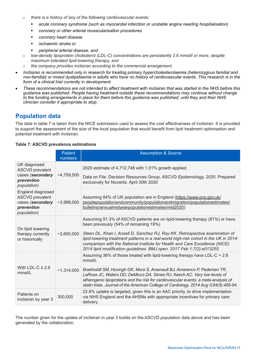- <span id="page-10-0"></span>o *there is a history of any of the following cardiovascular events:*
	- *acute coronary syndrome (such as myocardial infarction or unstable angina needing hospitalisation)*
	- *coronary or other arterial revascularisation procedures*
	- *coronary heart disease*
	- *ischaemic stroke or*
	- *peripheral arterial disease, and*
- o *low-density lipoprotein cholesterol (LDL-C) concentrations are persistently 2.6 mmol/l or more, despite maximum tolerated lipid-lowering therapy, and*
- o *the company provides inclisiran according to the commercial arrangement.*
- Inclisiran is recommended only in research for treating primary hypercholesterolaemia (heterozygous familial and *non-familial) or mixed dyslipidaemia in adults who have no history of cardiovascular events. This research is in the form of a clinical trial currently in development.*
- These recommendations are not intended to affect treatment with inclisiran that was started in the NHS before this *guidance was published. People having treatment outside these recommendations may continue without change to the funding arrangements in place for them before this guidance was published, until they and their NHS clinician consider it appropriate to stop.*

# **Population data**

The data in table 7 is taken from the NICE submission used to assess the cost effectiveness of inclisiran. It is provided to support the assessment of the size of the local population that would benefit from lipid treatment optimisation and potential treatment with inclisiran.

#### **Table 7: ASCVD prevalence estimations**

|                                                                                                 | <b>Patient</b><br>numbers | <b>Assumption &amp; Source</b>                                                                                                                                                                                                                                                                                                                                                                                                                            |
|-------------------------------------------------------------------------------------------------|---------------------------|-----------------------------------------------------------------------------------------------------------------------------------------------------------------------------------------------------------------------------------------------------------------------------------------------------------------------------------------------------------------------------------------------------------------------------------------------------------|
| UK diagnosed<br><b>ASCVD</b> prevalent<br>cases (secondary<br>prevention<br><i>population</i> ) | $-4,759,500$              | 2020 estimate of 4,712,748 with 1.01% growth applied.<br>Data on File. Decision Resources Group. ASCVD Epidemiology, 2020. Prepared<br>exclusively for Novartis. April 30th 2020                                                                                                                                                                                                                                                                          |
| England diagnosed<br><b>ASCVD</b> prevalent<br>cases (secondary<br>prevention<br>population)    | ~2,998,000                | Assuming 84% of UK population are in England (https://www.ons.gov.uk/<br>peoplepopulationandcommunity/populationandmigration/populationestimates/<br>bulletins/annualmidyearpopulationestimates/mid2020)                                                                                                                                                                                                                                                  |
| On lipid lowering<br>therapy currently<br>or historically                                       | ~1,650,000                | Assuming 91.3% of ASCVD patients are on lipid-lowering therapy (81%) or have<br>been previously (54% of remaining 19%)<br>Steen DL, Khan I, Ansell D, Sanchez RJ, Ray KK. Retrospective examination of<br>lipid-lowering treatment patterns in a real-world high-risk cohort in the UK in 2014:<br>comparison with the National Institute for Health and Care Excellence (NICE)<br>2014 lipid modification guidelines. BMJ open. 2017 Feb 1;7(2):e013255. |
| With LDL-C $\geq 2.6$<br>mmol/L                                                                 | ~1,314,000                | Assuming 36% of those treated with lipid-lowering therapy have LDL-C > 2.6<br>mmol/L<br>Boekholdt SM, Hovingh GK, Mora S, Arsenault BJ, Amarenco P, Pedersen TR,<br>LaRosa JC, Waters DD, DeMicco DA, Simes RJ, Keech AC. Very low levels of<br>atherogenic lipoproteins and the risk for cardiovascular events: a meta-analysis of<br>statin trials. Journal of the American College of Cardiology. 2014 Aug 5;64(5):485-94.                             |
| Patients on<br>inclisiran by year 3                                                             | 300,000                   | 22.8% uptake is targeted, given this is an AAC priority, to drive implementation<br>via NHS England and the AHSNs with appropriate incentives for primary care<br>delivery.                                                                                                                                                                                                                                                                               |

The number given for the uptake of inclisiran in year 3 builds on the ASCVD population data above and has been generated by the collaboration.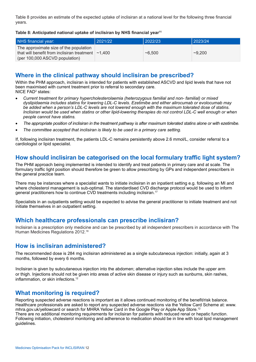<span id="page-11-0"></span>Table 8 provides an estimate of the expected uptake of inclisiran at a national level for the following three financial years.

#### **Table 8: Anticipated national uptake of inclisiran by NHS financial year<sup>11</sup>**

| NHS financial year:                                                                                                                  | 2021/22 | 2022/23 | 2023/24 |
|--------------------------------------------------------------------------------------------------------------------------------------|---------|---------|---------|
| The approximate size of the population<br>that will benefit from inclisiran treatment $\sim$ 1.400<br>(per 100,000 ASCVD population) |         | ~100    | ~200    |

## **Where in the clinical pathway should inclisiran be prescribed?**

Within the PHM approach, inclisiran is intended for patients with established ASCVD and lipid levels that have not been maximised with current treatment prior to referral to secondary care. NICE FAD<sup>2</sup> states:

- Current treatment for primary hypercholesterolaemia (heterozygous familial and non- familial) or mixed *dyslipidaemia includes statins for lowering LDL-C levels. Ezetimibe and either alirocumab or evolocumab may be added when a person's LDL-C levels are not lowered enough with the maximum tolerated dose of statins. Inclisiran would be used when statins or other lipid-lowering therapies do not control LDL-C well enough or when people cannot have statins.*
- The appropriate position of inclisiran in the treatment pathway is after maximum tolerated statins alone or with ezetimibe.
- The committee accepted that inclisiran is likely to be used in a primary care setting.

If, following inclisiran treatment, the patients LDL-C remains persistently above 2.6 mmol/L, consider referral to a cardiologist or lipid specialist.

# **How should inclisiran be categorised on the local formulary traffic light system?**

The PHM approach being implemented is intended to identify and treat patients in primary care and at scale. The formulary traffic light position should therefore be green to allow prescribing by GPs and independent prescribers in the general practice team.

There may be instances where a specialist wants to initiate inclisiran in an inpatient setting e.g. following an MI and where cholesterol management is sub-optimal. The standardised CVD discharge protocol would be used to inform general practitioners how to continue CVD treatments including inclisiran.<sup>17</sup>

Specialists in an outpatients setting would be expected to advise the general practitioner to initiate treatment and not initiate themselves in an outpatient setting.

# **Which healthcare professionals can prescribe inclisiran?**

Inclisiran is a prescription only medicine and can be prescribed by all independent prescribers in accordance with The Human Medicines Regulations 2012.18

## **How is inclisiran administered?**

The recommended dose is 284 mg inclisiran administered as a single subcutaneous injection: initially, again at 3 months, followed by every 6 months.

Inclisiran is given by subcutaneous injection into the abdomen; alternative injection sites include the upper arm or thigh. Injections should not be given into areas of active skin disease or injury such as sunburns, skin rashes, inflammation, or skin infections.<sup>12</sup>

# **What monitoring is required?**

Reporting suspected adverse reactions is important as it allows continued monitoring of the benefit/risk balance. Healthcare professionals are asked to report any suspected adverse reactions via the Yellow Card Scheme at: www. mhra.gov.uk/yellowcard or search for MHRA Yellow Card in the Google Play or Apple App Store.<sup>12</sup> There are no additional monitoring requirements for inclisiran for patients with reduced renal or hepatic function. Following initiation, cholesterol monitoring and adherence to medication should be in line with local lipid management guidelines.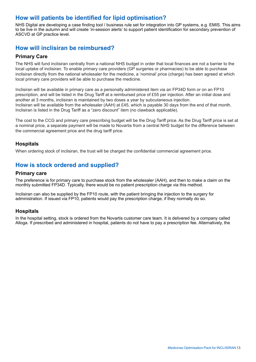# <span id="page-12-0"></span>**How will patients be identified for lipid optimisation?**

NHS Digital are developing a case finding tool / business rule set for integration into GP systems, e.g. EMIS. This aims to be live in the autumn and will create 'in-session alerts' to support patient identification for secondary prevention of ASCVD at GP practice level.

# **How will inclisiran be reimbursed?**

#### **Primary Care**

The NHS will fund inclisiran centrally from a national NHS budget in order that local finances are not a barrier to the local uptake of inclisiran. To enable primary care providers (GP surgeries or pharmacies) to be able to purchase inclisiran directly from the national wholesaler for the medicine, a 'nominal' price (charge) has been agreed at which local primary care providers will be able to purchase the medicine.

Inclisiran will be available in primary care as a personally administered item via an FP34D form or on an FP10 prescription, and will be listed in the Drug Tariff at a reimbursed price of £55 per injection. After an initial dose and another at 3 months, inclisiran is maintained by two doses a year by subcutaneous injection. Inclisiran will be available from the wholesaler (AAH) at £45, which is payable 30 days from the end of that month. Inclisiran is listed in the Drug Tariff as a "zero discount" item (no clawback applicable).

The cost to the CCG and primary care prescribing budget will be the Drug Tariff price. As the Drug Tariff price is set at a nominal price, a separate payment will be made to Novartis from a central NHS budget for the difference between the commercial agreement price and the drug tariff price.

#### **Hospitals**

When ordering stock of inclisiran, the trust will be charged the confidential commercial agreement price.

# **How is stock ordered and supplied?**

#### **Primary care**

The preference is for primary care to purchase stock from the wholesaler (AAH), and then to make a claim on the monthly submitted FP34D. Typically, there would be no patient prescription charge via this method.

Inclisiran can also be supplied by the FP10 route, with the patient bringing the injection to the surgery for administration. If issued via FP10, patients would pay the prescription charge, if they normally do so.

#### **Hospitals**

In the hospital setting, stock is ordered from the Novartis customer care team. It is delivered by a company called Alloga. If prescribed and administered in hospital, patients do not have to pay a prescription fee. Alternatively, the